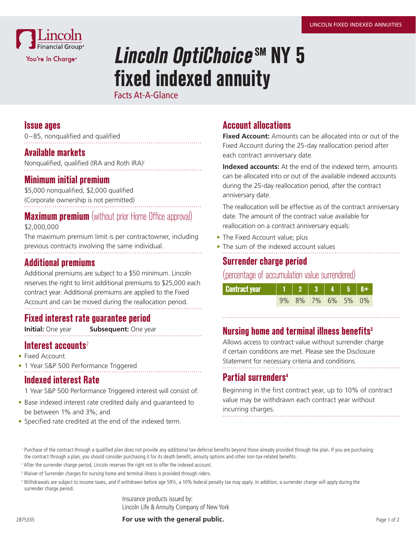

# **Lincoln OptiChoice SM NY 5 fixed indexed annuity**

Facts At-A-Glance

### **Issue ages**

0–85, nonqualified and qualified

#### **Available markets**

Nonqualified, qualified (IRA and Roth IRA)<sup>1</sup>

#### **Minimum initial premium**

\$5,000 nonqualified, \$2,000 qualified (Corporate ownership is not permitted)

# **Maximum premium** (without prior Home Office approval)

\$2,000,000

The maximum premium limit is per contractowner, including previous contracts involving the same individual.

## **Additional premiums**

Additional premiums are subject to a \$50 minimum. Lincoln reserves the right to limit additional premiums to \$25,000 each contract year. Additional premiums are applied to the Fixed Account and can be moved during the reallocation period.

## **Fixed interest rate guarantee period**

**Initial:** One year **Subsequent:** One year

## **Interest accounts**<sup>2</sup>

- Fixed Account
- 1 Year S&P 500 Performance Triggered

#### **Indexed interest Rate**

1 Year S&P 500 Performance Triggered interest will consist of:

- Base indexed interest rate credited daily and guaranteed to be between 1% and 3%; and
- Specified rate credited at the end of the indexed term.

# **Account allocations**

**Fixed Account:** Amounts can be allocated into or out of the Fixed Account during the 25-day reallocation period after each contract anniversary date.

**Indexed accounts:** At the end of the indexed term, amounts can be allocated into or out of the available indexed accounts during the 25-day reallocation period, after the contract anniversary date.

The reallocation will be effective as of the contract anniversary date. The amount of the contract value available for reallocation on a contract anniversary equals:

- The Fixed Account value; plus
- The sum of the indexed account values

# **Surrender charge period**

### (percentage of accumulation value surrendered)

| <b>Contract year</b> | 12345             |  |  |
|----------------------|-------------------|--|--|
|                      | 9% 8% 7% 6% 5% 0% |  |  |

# **Nursing home and terminal illness benefits3**

Allows access to contract value without surrender charge if certain conditions are met. Please see the Disclosure Statement for necessary criteria and conditions.

# **Partial surrenders4**

Beginning in the first contract year, up to 10% of contract value may be withdrawn each contract year without incurring charges.

Insurance products issued by: Lincoln Life & Annuity Company of New York

**For use with the general public.** The state of 2 and 2 and 2 and 2 and 2 and 2 and 2 and 2 and 2 and 2 and 2 and 2 and 2 and 2 and 2 and 2 and 2 and 2 and 2 and 2 and 2 and 2 and 2 and 2 and 2 and 2 and 2 and 2 and 2 and

<sup>&</sup>lt;sup>1</sup> Purchase of the contract through a qualified plan does not provide any additional tax-deferral benefits beyond those already provided through the plan. If you are purchasing the contract through a plan, you should consider purchasing it for its death benefit, annuity options and other non-tax-related benefits.

<sup>&</sup>lt;sup>2</sup> After the surrender charge period, Lincoln reserves the right not to offer the indexed account.

<sup>&</sup>lt;sup>3</sup> Waiver of Surrender charges for nursing home and terminal illness is provided through riders.

<sup>4</sup> Withdrawals are subject to income taxes, and if withdrawn before age 59½, a 10% federal penalty tax may apply. In addition, a surrender charge will apply during the surrender charge period.